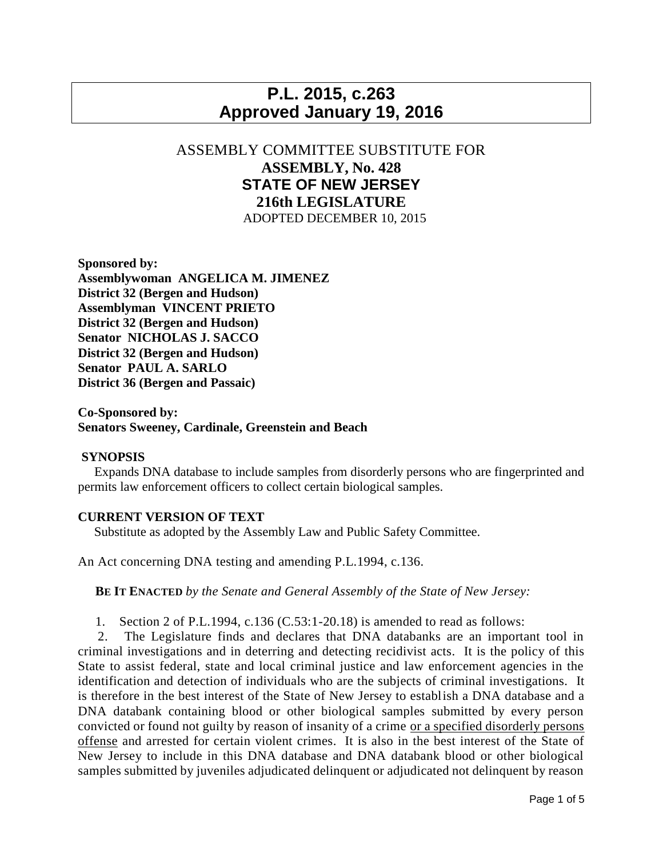## **P.L. 2015, c.263 Approved January 19, 2016**

## ASSEMBLY COMMITTEE SUBSTITUTE FOR **ASSEMBLY, No. 428 STATE OF NEW JERSEY 216th LEGISLATURE** ADOPTED DECEMBER 10, 2015

**Sponsored by: Assemblywoman ANGELICA M. JIMENEZ District 32 (Bergen and Hudson) Assemblyman VINCENT PRIETO District 32 (Bergen and Hudson) Senator NICHOLAS J. SACCO District 32 (Bergen and Hudson) Senator PAUL A. SARLO District 36 (Bergen and Passaic)**

**Co-Sponsored by: Senators Sweeney, Cardinale, Greenstein and Beach**

## **SYNOPSIS**

 Expands DNA database to include samples from disorderly persons who are fingerprinted and permits law enforcement officers to collect certain biological samples.

## **CURRENT VERSION OF TEXT**

Substitute as adopted by the Assembly Law and Public Safety Committee.

An Act concerning DNA testing and amending P.L.1994, c.136.

 **BE IT ENACTED** *by the Senate and General Assembly of the State of New Jersey:*

1. Section 2 of P.L.1994, c.136 (C.53:1-20.18) is amended to read as follows:

 2. The Legislature finds and declares that DNA databanks are an important tool in criminal investigations and in deterring and detecting recidivist acts. It is the policy of this State to assist federal, state and local criminal justice and law enforcement agencies in the identification and detection of individuals who are the subjects of criminal investigations. It is therefore in the best interest of the State of New Jersey to establish a DNA database and a DNA databank containing blood or other biological samples submitted by every person convicted or found not guilty by reason of insanity of a crime or a specified disorderly persons offense and arrested for certain violent crimes. It is also in the best interest of the State of New Jersey to include in this DNA database and DNA databank blood or other biological samples submitted by juveniles adjudicated delinquent or adjudicated not delinquent by reason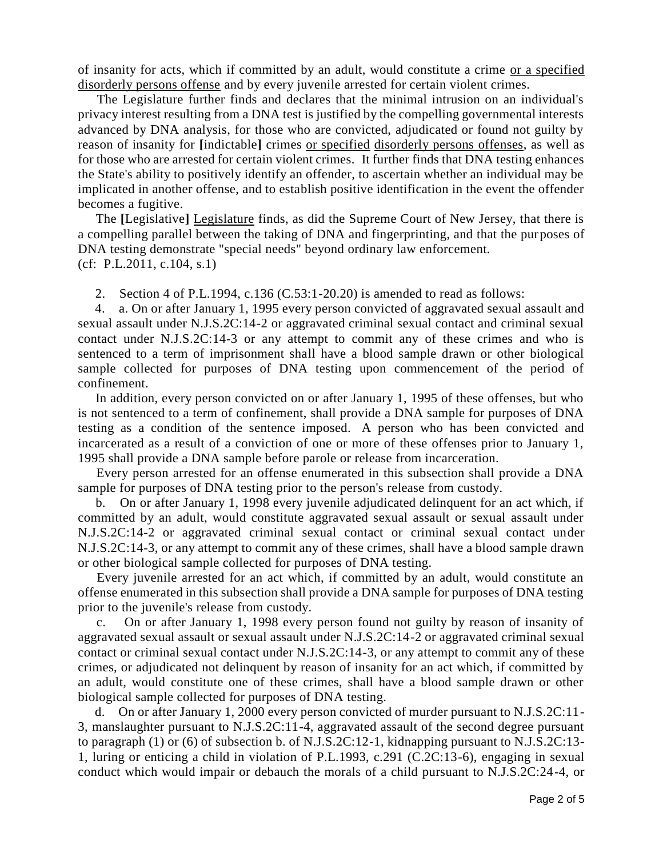of insanity for acts, which if committed by an adult, would constitute a crime or a specified disorderly persons offense and by every juvenile arrested for certain violent crimes.

 The Legislature further finds and declares that the minimal intrusion on an individual's privacy interest resulting from a DNA test is justified by the compelling governmental interests advanced by DNA analysis, for those who are convicted, adjudicated or found not guilty by reason of insanity for **[**indictable**]** crimes or specified disorderly persons offenses, as well as for those who are arrested for certain violent crimes. It further finds that DNA testing enhances the State's ability to positively identify an offender, to ascertain whether an individual may be implicated in another offense, and to establish positive identification in the event the offender becomes a fugitive.

 The **[**Legislative**]** Legislature finds, as did the Supreme Court of New Jersey, that there is a compelling parallel between the taking of DNA and fingerprinting, and that the purposes of DNA testing demonstrate "special needs" beyond ordinary law enforcement. (cf: P.L.2011, c.104, s.1)

2. Section 4 of P.L.1994, c.136 (C.53:1-20.20) is amended to read as follows:

 4. a. On or after January 1, 1995 every person convicted of aggravated sexual assault and sexual assault under N.J.S.2C:14-2 or aggravated criminal sexual contact and criminal sexual contact under N.J.S.2C:14-3 or any attempt to commit any of these crimes and who is sentenced to a term of imprisonment shall have a blood sample drawn or other biological sample collected for purposes of DNA testing upon commencement of the period of confinement.

 In addition, every person convicted on or after January 1, 1995 of these offenses, but who is not sentenced to a term of confinement, shall provide a DNA sample for purposes of DNA testing as a condition of the sentence imposed. A person who has been convicted and incarcerated as a result of a conviction of one or more of these offenses prior to January 1, 1995 shall provide a DNA sample before parole or release from incarceration.

 Every person arrested for an offense enumerated in this subsection shall provide a DNA sample for purposes of DNA testing prior to the person's release from custody.

 b. On or after January 1, 1998 every juvenile adjudicated delinquent for an act which, if committed by an adult, would constitute aggravated sexual assault or sexual assault under N.J.S.2C:14-2 or aggravated criminal sexual contact or criminal sexual contact under N.J.S.2C:14-3, or any attempt to commit any of these crimes, shall have a blood sample drawn or other biological sample collected for purposes of DNA testing.

 Every juvenile arrested for an act which, if committed by an adult, would constitute an offense enumerated in this subsection shall provide a DNA sample for purposes of DNA testing prior to the juvenile's release from custody.

 c. On or after January 1, 1998 every person found not guilty by reason of insanity of aggravated sexual assault or sexual assault under N.J.S.2C:14-2 or aggravated criminal sexual contact or criminal sexual contact under N.J.S.2C:14-3, or any attempt to commit any of these crimes, or adjudicated not delinquent by reason of insanity for an act which, if committed by an adult, would constitute one of these crimes, shall have a blood sample drawn or other biological sample collected for purposes of DNA testing.

 d. On or after January 1, 2000 every person convicted of murder pursuant to N.J.S.2C:11- 3, manslaughter pursuant to N.J.S.2C:11-4, aggravated assault of the second degree pursuant to paragraph (1) or (6) of subsection b. of N.J.S.2C:12-1, kidnapping pursuant to N.J.S.2C:13- 1, luring or enticing a child in violation of P.L.1993, c.291 (C.2C:13-6), engaging in sexual conduct which would impair or debauch the morals of a child pursuant to N.J.S.2C:24-4, or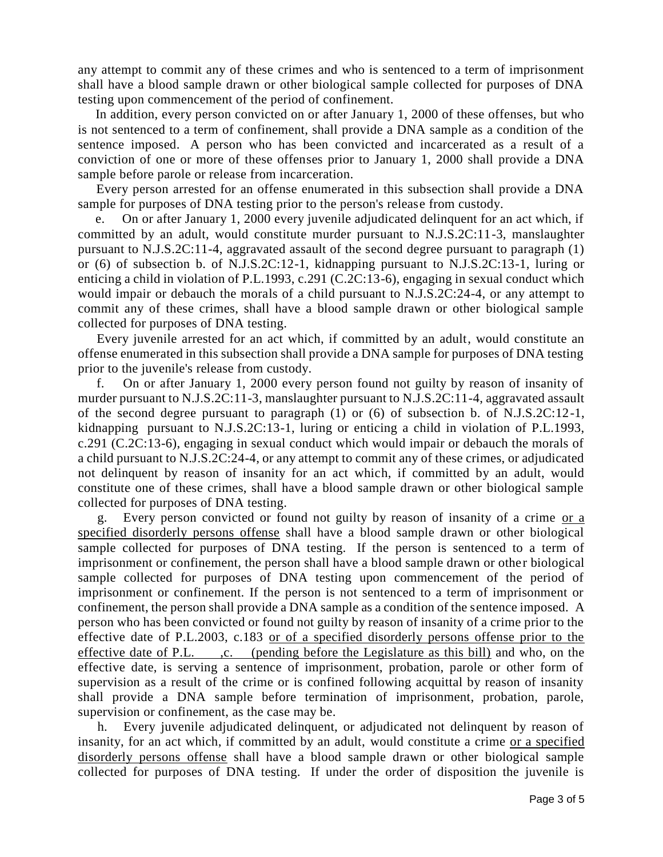any attempt to commit any of these crimes and who is sentenced to a term of imprisonment shall have a blood sample drawn or other biological sample collected for purposes of DNA testing upon commencement of the period of confinement.

 In addition, every person convicted on or after January 1, 2000 of these offenses, but who is not sentenced to a term of confinement, shall provide a DNA sample as a condition of the sentence imposed. A person who has been convicted and incarcerated as a result of a conviction of one or more of these offenses prior to January 1, 2000 shall provide a DNA sample before parole or release from incarceration.

 Every person arrested for an offense enumerated in this subsection shall provide a DNA sample for purposes of DNA testing prior to the person's release from custody.

 e. On or after January 1, 2000 every juvenile adjudicated delinquent for an act which, if committed by an adult, would constitute murder pursuant to N.J.S.2C:11-3, manslaughter pursuant to N.J.S.2C:11-4, aggravated assault of the second degree pursuant to paragraph (1) or (6) of subsection b. of N.J.S.2C:12-1, kidnapping pursuant to N.J.S.2C:13-1, luring or enticing a child in violation of P.L.1993, c.291 (C.2C:13-6), engaging in sexual conduct which would impair or debauch the morals of a child pursuant to N.J.S.2C:24-4, or any attempt to commit any of these crimes, shall have a blood sample drawn or other biological sample collected for purposes of DNA testing.

 Every juvenile arrested for an act which, if committed by an adult, would constitute an offense enumerated in this subsection shall provide a DNA sample for purposes of DNA testing prior to the juvenile's release from custody.

 f. On or after January 1, 2000 every person found not guilty by reason of insanity of murder pursuant to N.J.S.2C:11-3, manslaughter pursuant to N.J.S.2C:11-4, aggravated assault of the second degree pursuant to paragraph (1) or (6) of subsection b. of N.J.S.2C:12-1, kidnapping pursuant to N.J.S.2C:13-1, luring or enticing a child in violation of P.L.1993, c.291 (C.2C:13-6), engaging in sexual conduct which would impair or debauch the morals of a child pursuant to N.J.S.2C:24-4, or any attempt to commit any of these crimes, or adjudicated not delinquent by reason of insanity for an act which, if committed by an adult, would constitute one of these crimes, shall have a blood sample drawn or other biological sample collected for purposes of DNA testing.

 g. Every person convicted or found not guilty by reason of insanity of a crime or a specified disorderly persons offense shall have a blood sample drawn or other biological sample collected for purposes of DNA testing. If the person is sentenced to a term of imprisonment or confinement, the person shall have a blood sample drawn or other biological sample collected for purposes of DNA testing upon commencement of the period of imprisonment or confinement. If the person is not sentenced to a term of imprisonment or confinement, the person shall provide a DNA sample as a condition of the sentence imposed. A person who has been convicted or found not guilty by reason of insanity of a crime prior to the effective date of P.L.2003, c.183 or of a specified disorderly persons offense prior to the effective date of P.L. ,c. (pending before the Legislature as this bill) and who, on the effective date, is serving a sentence of imprisonment, probation, parole or other form of supervision as a result of the crime or is confined following acquittal by reason of insanity shall provide a DNA sample before termination of imprisonment, probation, parole, supervision or confinement, as the case may be.

 h. Every juvenile adjudicated delinquent, or adjudicated not delinquent by reason of insanity, for an act which, if committed by an adult, would constitute a crime or a specified disorderly persons offense shall have a blood sample drawn or other biological sample collected for purposes of DNA testing. If under the order of disposition the juvenile is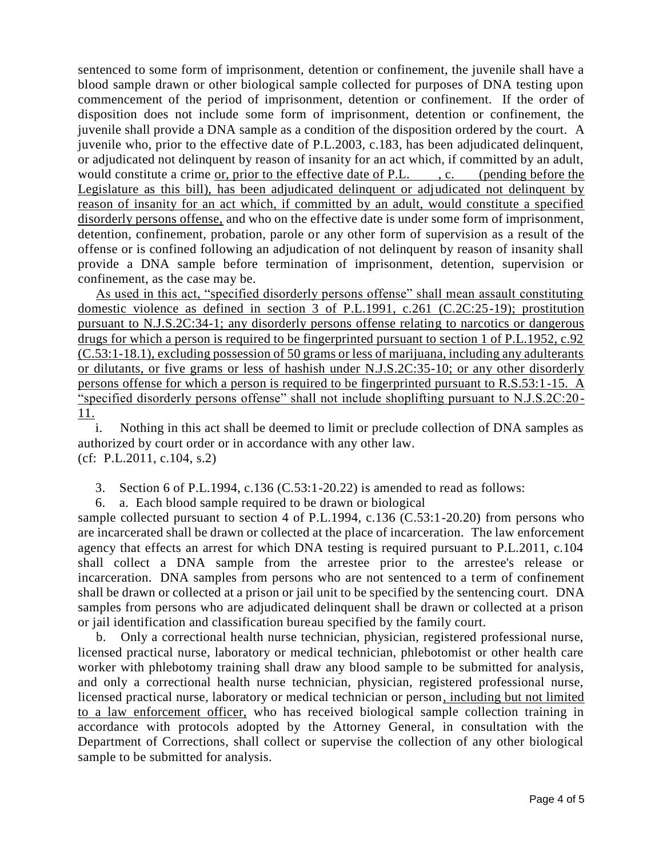sentenced to some form of imprisonment, detention or confinement, the juvenile shall have a blood sample drawn or other biological sample collected for purposes of DNA testing upon commencement of the period of imprisonment, detention or confinement. If the order of disposition does not include some form of imprisonment, detention or confinement, the juvenile shall provide a DNA sample as a condition of the disposition ordered by the court. A juvenile who, prior to the effective date of P.L.2003, c.183, has been adjudicated delinquent, or adjudicated not delinquent by reason of insanity for an act which, if committed by an adult, would constitute a crime or, prior to the effective date of P.L. c. (pending before the Legislature as this bill), has been adjudicated delinquent or adjudicated not delinquent by reason of insanity for an act which, if committed by an adult, would constitute a specified disorderly persons offense, and who on the effective date is under some form of imprisonment, detention, confinement, probation, parole or any other form of supervision as a result of the offense or is confined following an adjudication of not delinquent by reason of insanity shall provide a DNA sample before termination of imprisonment, detention, supervision or confinement, as the case may be.

As used in this act, "specified disorderly persons offense" shall mean assault constituting domestic violence as defined in section 3 of P.L.1991, c.261 (C.2C:25-19); prostitution pursuant to N.J.S.2C:34-1; any disorderly persons offense relating to narcotics or dangerous drugs for which a person is required to be fingerprinted pursuant to section 1 of P.L.1952, c.92 (C.53:1-18.1), excluding possession of 50 grams or less of marijuana, including any adulterants or dilutants, or five grams or less of hashish under N.J.S.2C:35-10; or any other disorderly persons offense for which a person is required to be fingerprinted pursuant to R.S.53:1-15. A "specified disorderly persons offense" shall not include shoplifting pursuant to N.J.S.2C:20- 11.

 i. Nothing in this act shall be deemed to limit or preclude collection of DNA samples as authorized by court order or in accordance with any other law. (cf: P.L.2011, c.104, s.2)

3. Section 6 of P.L.1994, c.136 (C.53:1-20.22) is amended to read as follows:

6. a. Each blood sample required to be drawn or biological

sample collected pursuant to section 4 of P.L.1994, c.136 (C.53:1-20.20) from persons who are incarcerated shall be drawn or collected at the place of incarceration. The law enforcement agency that effects an arrest for which DNA testing is required pursuant to P.L.2011, c.104 shall collect a DNA sample from the arrestee prior to the arrestee's release or incarceration. DNA samples from persons who are not sentenced to a term of confinement shall be drawn or collected at a prison or jail unit to be specified by the sentencing court. DNA samples from persons who are adjudicated delinquent shall be drawn or collected at a prison or jail identification and classification bureau specified by the family court.

 b. Only a correctional health nurse technician, physician, registered professional nurse, licensed practical nurse, laboratory or medical technician, phlebotomist or other health care worker with phlebotomy training shall draw any blood sample to be submitted for analysis, and only a correctional health nurse technician, physician, registered professional nurse, licensed practical nurse, laboratory or medical technician or person, including but not limited to a law enforcement officer, who has received biological sample collection training in accordance with protocols adopted by the Attorney General, in consultation with the Department of Corrections, shall collect or supervise the collection of any other biological sample to be submitted for analysis.